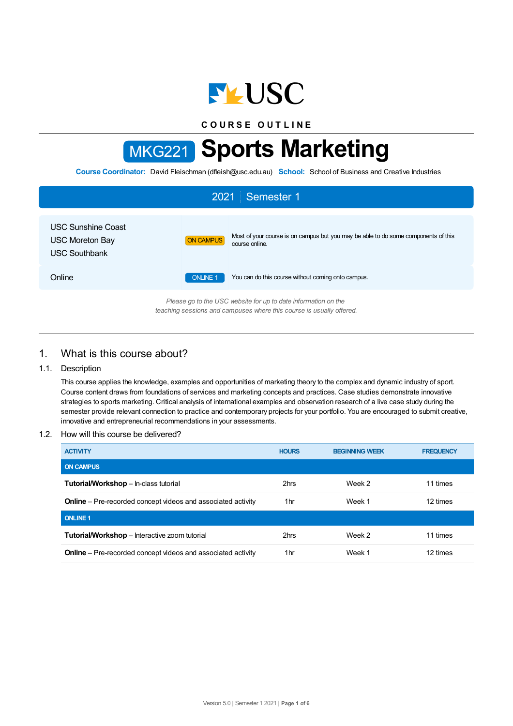

**C O U R S E O U T L I N E**

# MKG221 **Sports Marketing**

**Course Coordinator:** David Fleischman (dfleish@usc.edu.au) **School:** School of Business and Creative Industries

| Semester 1<br>2021                                                                                                                     |                                                                                                                          |  |  |  |  |
|----------------------------------------------------------------------------------------------------------------------------------------|--------------------------------------------------------------------------------------------------------------------------|--|--|--|--|
| <b>USC Sunshine Coast</b><br><b>USC Moreton Bay</b><br><b>USC Southbank</b>                                                            | Most of your course is on campus but you may be able to do some components of this<br><b>ON CAMPUS</b><br>course online. |  |  |  |  |
| Online                                                                                                                                 | <b>ONLINE 1</b><br>You can do this course without coming onto campus.                                                    |  |  |  |  |
| Please go to the USC website for up to date information on the<br>teaching sessions and campuses where this course is usually offered. |                                                                                                                          |  |  |  |  |

## 1. What is this course about?

## 1.1. Description

This course applies the knowledge, examples and opportunities of marketing theory to the complex and dynamic industry of sport. Course content draws from foundations of services and marketing concepts and practices. Case studies demonstrate innovative strategies to sports marketing. Critical analysis of international examples and observation research of a live case study during the semester provide relevant connection to practice and contemporary projects for your portfolio. You are encouraged to submit creative, innovative and entrepreneurial recommendations in your assessments.

## 1.2. How will this course be delivered?

| <b>ACTIVITY</b>                                                     | <b>HOURS</b> | <b>BEGINNING WEEK</b> | <b>FREQUENCY</b> |
|---------------------------------------------------------------------|--------------|-----------------------|------------------|
| <b>ON CAMPUS</b>                                                    |              |                       |                  |
| <b>Tutorial/Workshop</b> - In-class tutorial                        | 2hrs         | Week 2                | 11 times         |
| <b>Online</b> – Pre-recorded concept videos and associated activity | 1hr          | Week 1                | 12 times         |
| <b>ONLINE 1</b>                                                     |              |                       |                  |
| Tutorial/Workshop - Interactive zoom tutorial                       | 2hrs         | Week 2                | 11 times         |
| <b>Online</b> – Pre-recorded concept videos and associated activity | 1 hr         | Week 1                | 12 times         |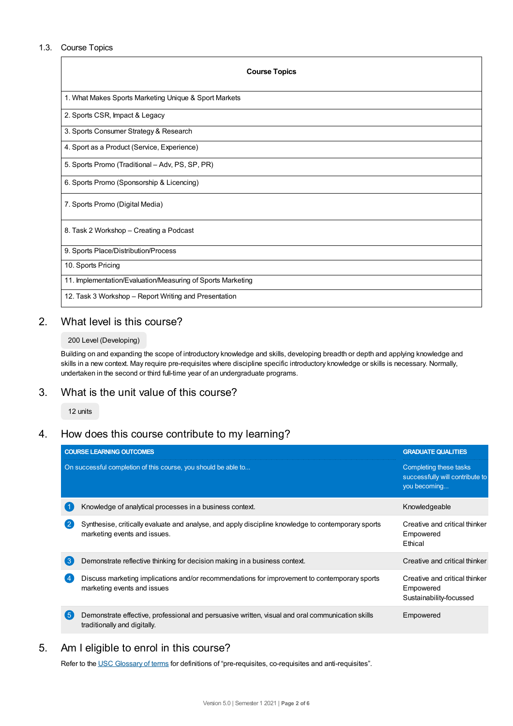## 1.3. Course Topics

| <b>Course Topics</b>                                        |
|-------------------------------------------------------------|
| 1. What Makes Sports Marketing Unique & Sport Markets       |
| 2. Sports CSR, Impact & Legacy                              |
| 3. Sports Consumer Strategy & Research                      |
| 4. Sport as a Product (Service, Experience)                 |
| 5. Sports Promo (Traditional - Adv, PS, SP, PR)             |
| 6. Sports Promo (Sponsorship & Licencing)                   |
| 7. Sports Promo (Digital Media)                             |
| 8. Task 2 Workshop - Creating a Podcast                     |
| 9. Sports Place/Distribution/Process                        |
| 10. Sports Pricing                                          |
| 11. Implementation/Evaluation/Measuring of Sports Marketing |
| 12. Task 3 Workshop – Report Writing and Presentation       |

# 2. What level is this course?

## 200 Level (Developing)

Building on and expanding the scope of introductory knowledge and skills, developing breadth or depth and applying knowledge and skills in a new context. May require pre-requisites where discipline specific introductory knowledge or skills is necessary. Normally, undertaken in the second or third full-time year of an undergraduate programs.

# 3. What is the unit value of this course?

12 units

# 4. How does this course contribute to my learning?

|                | <b>COURSE LEARNING OUTCOMES</b>                                                                                                    | <b>GRADUATE QUALITIES</b>                                                 |
|----------------|------------------------------------------------------------------------------------------------------------------------------------|---------------------------------------------------------------------------|
|                | On successful completion of this course, you should be able to                                                                     | Completing these tasks<br>successfully will contribute to<br>you becoming |
| -1             | Knowledge of analytical processes in a business context.                                                                           | Knowledgeable                                                             |
| $\mathbf{2}$   | Synthesise, critically evaluate and analyse, and apply discipline knowledge to contemporary sports<br>marketing events and issues. | Creative and critical thinker<br>Empowered<br>Ethical                     |
| 3              | Demonstrate reflective thinking for decision making in a business context.                                                         | Creative and critical thinker                                             |
|                | Discuss marketing implications and/or recommendations for improvement to contemporary sports<br>marketing events and issues        | Creative and critical thinker<br>Empowered<br>Sustainability-focussed     |
| 5 <sup>5</sup> | Demonstrate effective, professional and persuasive written, visual and oral communication skills<br>traditionally and digitally.   | Empowered                                                                 |

# 5. Am I eligible to enrol in this course?

Refer to the USC [Glossary](https://www.usc.edu.au/about/policies-and-procedures/glossary-of-terms-for-policy-and-procedures) of terms for definitions of "pre-requisites, co-requisites and anti-requisites".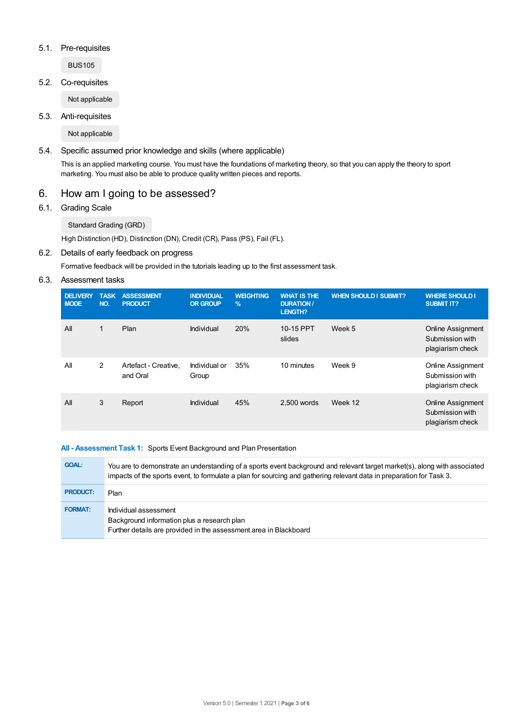## 5.1. Pre-requisites

BUS105

5.2. Co-requisites

Not applicable

5.3. Anti-requisites

Not applicable

## 5.4. Specific assumed prior knowledge and skills (where applicable)

This is an applied marketing course. You must have the foundations of marketing theory, so that you can apply the theory to sport marketing. You must also be able to produce quality written pieces and reports.

# 6. How am I going to be assessed?

6.1. Grading Scale

Standard Grading (GRD)

High Distinction (HD), Distinction (DN), Credit (CR), Pass (PS), Fail (FL).

## 6.2. Details of early feedback on progress

Formative feedback will be provided in the tutorials leading up to the first assessment task.

## 6.3. Assessment tasks

| <b>DELIVERY</b><br><b>MODE</b> | <b>TASK</b><br>NO. | <b>ASSESSMENT</b><br><b>PRODUCT</b> | <b>INDIVIDUAL</b><br><b>OR GROUP</b> | <b>WEIGHTING</b><br>$\%$ | <b>WHAT IS THE</b><br><b>DURATION /</b><br><b>LENGTH?</b> | <b>WHEN SHOULD I SUBMIT?</b> | <b>WHERE SHOULD I</b><br><b>SUBMIT IT?</b>                      |
|--------------------------------|--------------------|-------------------------------------|--------------------------------------|--------------------------|-----------------------------------------------------------|------------------------------|-----------------------------------------------------------------|
| All                            | 1                  | Plan                                | Individual                           | 20%                      | 10-15 PPT<br>slides                                       | Week 5                       | <b>Online Assignment</b><br>Submission with<br>plagiarism check |
| All                            | $\overline{2}$     | Artefact - Creative,<br>and Oral    | Individual or<br>Group               | 35%                      | 10 minutes                                                | Week 9                       | <b>Online Assignment</b><br>Submission with<br>plagiarism check |
| All                            | 3                  | Report                              | Individual                           | 45%                      | 2.500 words                                               | Week 12                      | <b>Online Assignment</b><br>Submission with<br>plagiarism check |

## **All - Assessment Task 1:** Sports Event Background and Plan Presentation

| <b>GOAL:</b>    | You are to demonstrate an understanding of a sports event background and relevant target market(s), along with associated<br>impacts of the sports event, to formulate a plan for sourcing and gathering relevant data in preparation for Task 3. |
|-----------------|---------------------------------------------------------------------------------------------------------------------------------------------------------------------------------------------------------------------------------------------------|
| <b>PRODUCT:</b> | Plan                                                                                                                                                                                                                                              |
| <b>FORMAT:</b>  | Individual assessment<br>Background information plus a research plan<br>Further details are provided in the assessment area in Blackboard                                                                                                         |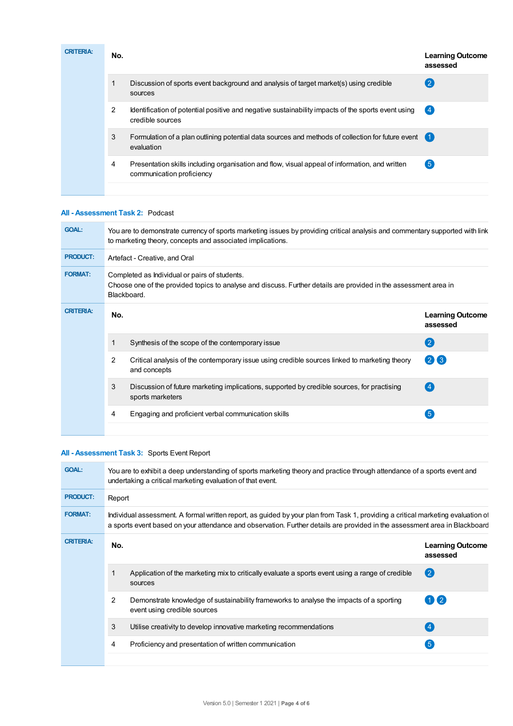| <b>CRITERIA:</b> | No. |                                                                                                                             | <b>Learning Outcome</b><br>assessed |
|------------------|-----|-----------------------------------------------------------------------------------------------------------------------------|-------------------------------------|
|                  | 1   | Discussion of sports event background and analysis of target market(s) using credible<br>sources                            | $\left( 2\right)$                   |
|                  | 2   | Identification of potential positive and negative sustainability impacts of the sports event using<br>credible sources      | (4)                                 |
|                  | 3   | Formulation of a plan outlining potential data sources and methods of collection for future event<br>evaluation             |                                     |
|                  | 4   | Presentation skills including organisation and flow, visual appeal of information, and written<br>communication proficiency | $\boxed{5}$                         |
|                  |     |                                                                                                                             |                                     |

## **All - Assessment Task 2:** Podcast

| You are to demonstrate currency of sports marketing issues by providing critical analysis and commentary supported with link<br>to marketing theory, concepts and associated implications. |                                                                                                                |                                     |  |  |
|--------------------------------------------------------------------------------------------------------------------------------------------------------------------------------------------|----------------------------------------------------------------------------------------------------------------|-------------------------------------|--|--|
| Artefact - Creative, and Oral                                                                                                                                                              |                                                                                                                |                                     |  |  |
| Completed as Individual or pairs of students.<br>Choose one of the provided topics to analyse and discuss. Further details are provided in the assessment area in<br>Blackboard.           |                                                                                                                |                                     |  |  |
| No.                                                                                                                                                                                        |                                                                                                                | <b>Learning Outcome</b><br>assessed |  |  |
|                                                                                                                                                                                            | Synthesis of the scope of the contemporary issue                                                               | (2)                                 |  |  |
| 2                                                                                                                                                                                          | Critical analysis of the contemporary issue using credible sources linked to marketing theory<br>and concepts  | 26                                  |  |  |
| 3                                                                                                                                                                                          | Discussion of future marketing implications, supported by credible sources, for practising<br>sports marketers | $\left 4\right $                    |  |  |
| 4                                                                                                                                                                                          | Engaging and proficient verbal communication skills                                                            | $\sqrt{5}$                          |  |  |
|                                                                                                                                                                                            |                                                                                                                |                                     |  |  |

## **All - Assessment Task 3:** Sports Event Report

| <b>GOAL:</b>     | You are to exhibit a deep understanding of sports marketing theory and practice through attendance of a sports event and<br>undertaking a critical marketing evaluation of that event. |                                                                                                                                                                                                                                                                |                                     |  |  |  |
|------------------|----------------------------------------------------------------------------------------------------------------------------------------------------------------------------------------|----------------------------------------------------------------------------------------------------------------------------------------------------------------------------------------------------------------------------------------------------------------|-------------------------------------|--|--|--|
| <b>PRODUCT:</b>  | Report                                                                                                                                                                                 |                                                                                                                                                                                                                                                                |                                     |  |  |  |
| <b>FORMAT:</b>   |                                                                                                                                                                                        | Individual assessment. A formal written report, as guided by your plan from Task 1, providing a critical marketing evaluation of<br>a sports event based on your attendance and observation. Further details are provided in the assessment area in Blackboard |                                     |  |  |  |
| <b>CRITERIA:</b> | No.                                                                                                                                                                                    |                                                                                                                                                                                                                                                                | <b>Learning Outcome</b><br>assessed |  |  |  |
|                  | 1                                                                                                                                                                                      | Application of the marketing mix to critically evaluate a sports event using a range of credible<br>sources                                                                                                                                                    | $\overline{2}$                      |  |  |  |
|                  | 2                                                                                                                                                                                      | Demonstrate knowledge of sustainability frameworks to analyse the impacts of a sporting<br>event using credible sources                                                                                                                                        | $\left( 2 \right)$                  |  |  |  |
|                  | 3                                                                                                                                                                                      | Utilise creativity to develop innovative marketing recommendations                                                                                                                                                                                             | $\left( 4\right)$                   |  |  |  |
|                  | 4                                                                                                                                                                                      | Proficiency and presentation of written communication                                                                                                                                                                                                          | 5                                   |  |  |  |
|                  |                                                                                                                                                                                        |                                                                                                                                                                                                                                                                |                                     |  |  |  |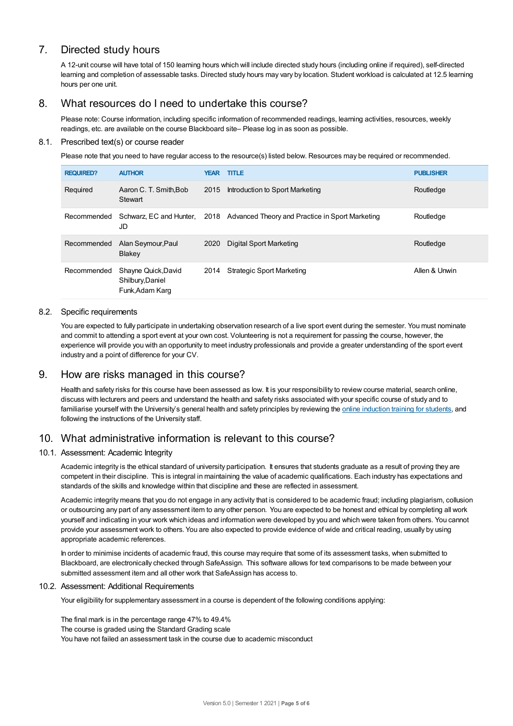# 7. Directed study hours

A 12-unit course will have total of 150 learning hours which will include directed study hours (including online if required), self-directed learning and completion of assessable tasks. Directed study hours may vary by location. Student workload is calculated at 12.5 learning hours per one unit.

# 8. What resources do I need to undertake this course?

Please note: Course information, including specific information of recommended readings, learning activities, resources, weekly readings, etc. are available on the course Blackboard site– Please log in as soon as possible.

## 8.1. Prescribed text(s) or course reader

Please note that you need to have regular access to the resource(s) listed below. Resources may be required or recommended.

| <b>REQUIRED?</b> | <b>AUTHOR</b>                                              | <b>YEAR</b> | <b>TITLE</b>                                                                 | <b>PUBLISHER</b> |
|------------------|------------------------------------------------------------|-------------|------------------------------------------------------------------------------|------------------|
| Required         | Aaron C. T. Smith, Bob<br>Stewart                          | 2015        | Introduction to Sport Marketing                                              | Routledge        |
| Recommended      | JD                                                         |             | Schwarz, EC and Hunter, 2018 Advanced Theory and Practice in Sport Marketing | Routledge        |
| Recommended      | Alan Seymour, Paul<br>Blakey                               | 2020        | Digital Sport Marketing                                                      | Routledge        |
| Recommended      | Shayne Quick, David<br>Shilbury, Daniel<br>Funk, Adam Karg | 2014        | <b>Strategic Sport Marketing</b>                                             | Allen & Unwin    |

## 8.2. Specific requirements

You are expected to fully participate in undertaking observation research of a live sport event during the semester. You must nominate and commit to attending a sport event at your own cost. Volunteering is not a requirement for passing the course, however, the experience will provide you with an opportunity to meet industry professionals and provide a greater understanding of the sport event industry and a point of difference for your CV.

## 9. How are risks managed in this course?

Health and safety risks for this course have been assessed as low. It is your responsibility to review course material, search online, discuss with lecturers and peers and understand the health and safety risks associated with your specific course of study and to familiarise yourself with the University's general health and safety principles by reviewing the online [induction](https://online.usc.edu.au/webapps/blackboard/content/listContentEditable.jsp?content_id=_632657_1&course_id=_14432_1) training for students, and following the instructions of the University staff.

# 10. What administrative information is relevant to this course?

## 10.1. Assessment: Academic Integrity

Academic integrity is the ethical standard of university participation. It ensures that students graduate as a result of proving they are competent in their discipline. This is integral in maintaining the value of academic qualifications. Each industry has expectations and standards of the skills and knowledge within that discipline and these are reflected in assessment.

Academic integrity means that you do not engage in any activity that is considered to be academic fraud; including plagiarism, collusion or outsourcing any part of any assessment item to any other person. You are expected to be honest and ethical by completing all work yourself and indicating in your work which ideas and information were developed by you and which were taken from others. You cannot provide your assessment work to others.You are also expected to provide evidence of wide and critical reading, usually by using appropriate academic references.

In order to minimise incidents of academic fraud, this course may require that some of its assessment tasks, when submitted to Blackboard, are electronically checked through SafeAssign. This software allows for text comparisons to be made between your submitted assessment item and all other work that SafeAssign has access to.

### 10.2. Assessment: Additional Requirements

Your eligibility for supplementary assessment in a course is dependent of the following conditions applying:

The final mark is in the percentage range 47% to 49.4% The course is graded using the Standard Grading scale You have not failed an assessment task in the course due to academic misconduct